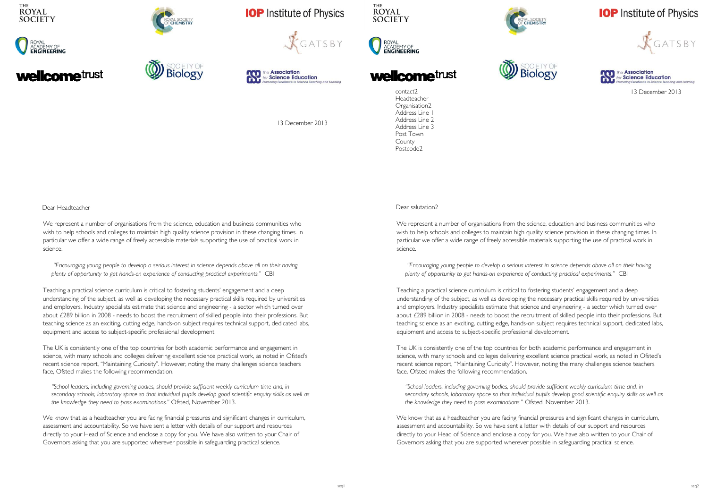



# **Icome**trust



## **IOP** Institute of Physics







13 December 2013

Dear Headteacher

We represent a number of organisations from the science, education and business communities who wish to help schools and colleges to maintain high quality science provision in these changing times. In particular we offer a wide range of freely accessible materials supporting the use of practical work in science.

*"Encouraging young people to develop a serious interest in science depends above all on their having plenty of opportunity to get hands-on experience of conducting practical experiments."* CBI

Teaching a practical science curriculum is critical to fostering students' engagement and a deep understanding of the subject, as well as developing the necessary practical skills required by universities and employers. Industry specialists estimate that science and engineering - a sector which turned over about £289 billion in 2008 - needs to boost the recruitment of skilled people into their professions. But teaching science as an exciting, cutting edge, hands-on subject requires technical support, dedicated labs, equipment and access to subject-specific professional development.

The UK is consistently one of the top countries for both academic performance and engagement in science, with many schools and colleges delivering excellent science practical work, as noted in Ofsted's recent science report, "Maintaining Curiosity". However, noting the many challenges science teachers face, Ofsted makes the following recommendation.

*"School leaders, including governing bodies, should provide sufficient weekly curriculum time and, in secondary schools, laboratory space so that individual pupils develop good scientific enquiry skills as well as the knowledge they need to pass examinations."* Ofsted, November 2013.

We know that as a headteacher you are facing financial pressures and significant changes in curriculum, assessment and accountability. So we have sent a letter with details of our support and resources directly to your Head of Science and enclose a copy for you. We have also written to your Chair of Governors asking that you are supported wherever possible in safeguarding practical science.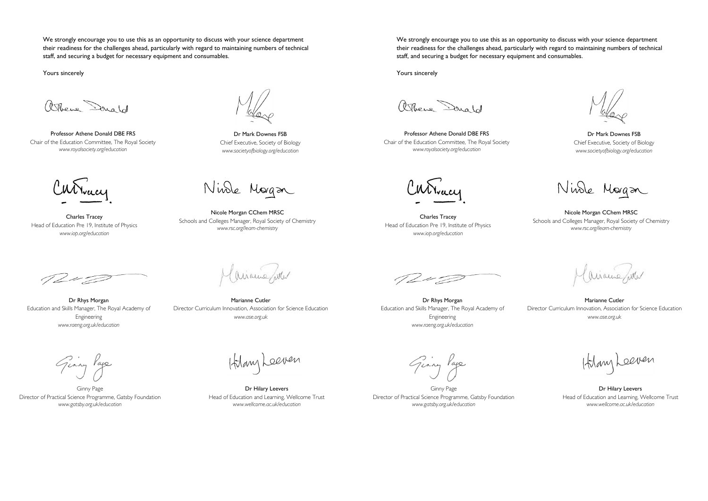We strongly encourage you to use this as an opportunity to discuss with your science department their readiness for the challenges ahead, particularly with regard to maintaining numbers of technical staff, and securing a budget for necessary equipment and consumables.

Yours sincerely

atthene Donald

Professor Athene Donald DBE FRS Chair of the Education Committee, The Royal Society *www.royalsociety.org/education*

Charles Tracey Head of Education Pre 19, Institute of Physics *www.iop.org/education* 

Dr Mark Downes FSB Chief Executive, Society of Biology *www.societyofbiology.org/education* 

Ninde Morgan

Nicole Morgan CChem MRSC Schools and Colleges Manager, Royal Society of Chemistry *www.rsc.org/learn-chemistry* 

Dr Rhys Morgan Education and Skills Manager, The Royal Academy of Engineering *www.raeng.org.uk/education* 

airaine/atter

Marianne Cutler Director Curriculum Innovation, Association for Science Education *www.ase.org.uk* 

Ginny Page

Ginny Page Director of Practical Science Programme, Gatsby Foundation *www.gatsby.org.uk/education*

Hany Leeven

Dr Hilary Leevers Head of Education and Learning, Wellcome Trust *www.wellcome.ac.uk/education*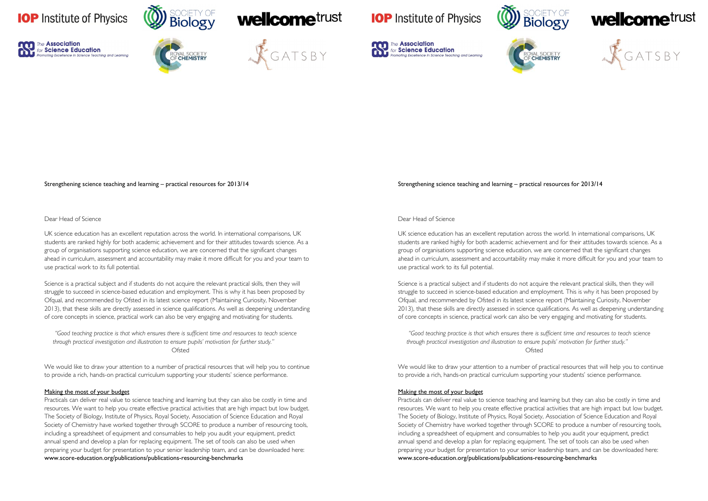











#### Strengthening science teaching and learning – practical resources for 2013/14

### Dear Head of Science

UK science education has an excellent reputation across the world. In international comparisons, UK students are ranked highly for both academic achievement and for their attitudes towards science. As a group of organisations supporting science education, we are concerned that the significant changes ahead in curriculum, assessment and accountability may make it more difficult for you and your team to use practical work to its full potential.

Science is a practical subject and if students do not acquire the relevant practical skills, then they will struggle to succeed in science-based education and employment. This is why it has been proposed by Ofqual, and recommended by Ofsted in its latest science report (Maintaining Curiosity, November 2013), that these skills are directly assessed in science qualifications. As well as deepening understanding of core concepts in science, practical work can also be very engaging and motivating for students.

*"Good teaching practice is that which ensures there is sufficient time and resources to teach science through practical investigation and illustration to ensure pupils' motivation for further study."*  Ofsted

We would like to draw your attention to a number of practical resources that will help you to continue to provide a rich, hands-on practical curriculum supporting your students' science performance.

#### Making the most of your budget

Practicals can deliver real value to science teaching and learning but they can also be costly in time and resources. We want to help you create effective practical activities that are high impact but low budget. The Society of Biology, Institute of Physics, Royal Society, Association of Science Education and Royal Society of Chemistry have worked together through SCORE to produce a number of resourcing tools, including a spreadsheet of equipment and consumables to help you audit your equipment, predict annual spend and develop a plan for replacing equipment. The set of tools can also be used when preparing your budget for presentation to your senior leadership team, and can be downloaded here: www.score-education.org/publications/publications-resourcing-benchmarks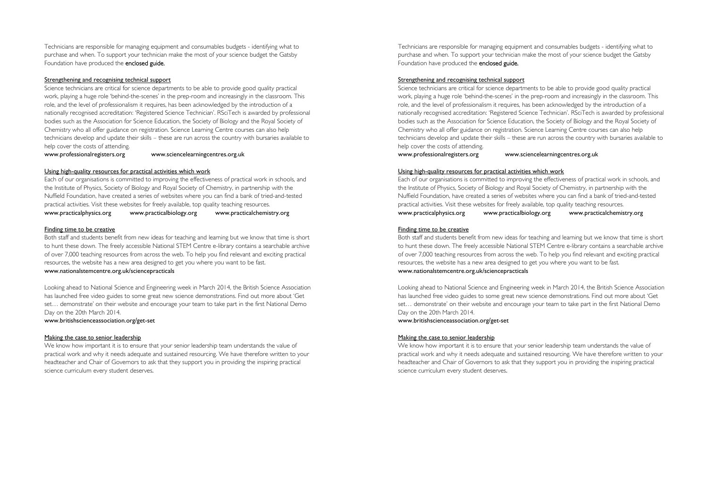Technicians are responsible for managing equipment and consumables budgets - identifying what to purchase and when. To support your technician make the most of your science budget the Gatsby Foundation have produced the enclosed guide.

#### Strengthening and recognising technical support

Science technicians are critical for science departments to be able to provide good quality practical work, playing a huge role 'behind-the-scenes' in the prep-room and increasingly in the classroom. This role, and the level of professionalism it requires, has been acknowledged by the introduction of a nationally recognised accreditation: 'Registered Science Technician'. RSciTech is awarded by professional bodies such as the Association for Science Education, the Society of Biology and the Royal Society of Chemistry who all offer guidance on registration. Science Learning Centre courses can also help technicians develop and update their skills – these are run across the country with bursaries available to help cover the costs of attending.

www.professionalregisters.org www.sciencelearningcentres.org.uk

#### Using high-quality resources for practical activities which work

Each of our organisations is committed to improving the effectiveness of practical work in schools, and the Institute of Physics, Society of Biology and Royal Society of Chemistry, in partnership with the Nuffield Foundation, have created a series of websites where you can find a bank of tried-and-tested practical activities. Visit these websites for freely available, top quality teaching resources. www.practicalphysics.org www.practicalbiology.org www.practicalchemistry.org

#### Finding time to be creative

Both staff and students benefit from new ideas for teaching and learning but we know that time is short to hunt these down. The freely accessible National STEM Centre e-library contains a searchable archive of over 7,000 teaching resources from across the web. To help you find relevant and exciting practical resources, the website has a new area designed to get you where you want to be fast. www.nationalstemcentre.org.uk/sciencepracticals

Looking ahead to National Science and Engineering week in March 2014, the British Science Association has launched free video guides to some great new science demonstrations. Find out more about 'Get set… demonstrate' on their website and encourage your team to take part in the first National Demo Day on the 20th March 2014.

#### www.britishscienceassociation.org/get-set

#### Making the case to senior leadership

We know how important it is to ensure that your senior leadership team understands the value of practical work and why it needs adequate and sustained resourcing. We have therefore written to your headteacher and Chair of Governors to ask that they support you in providing the inspiring practical science curriculum every student deserves.